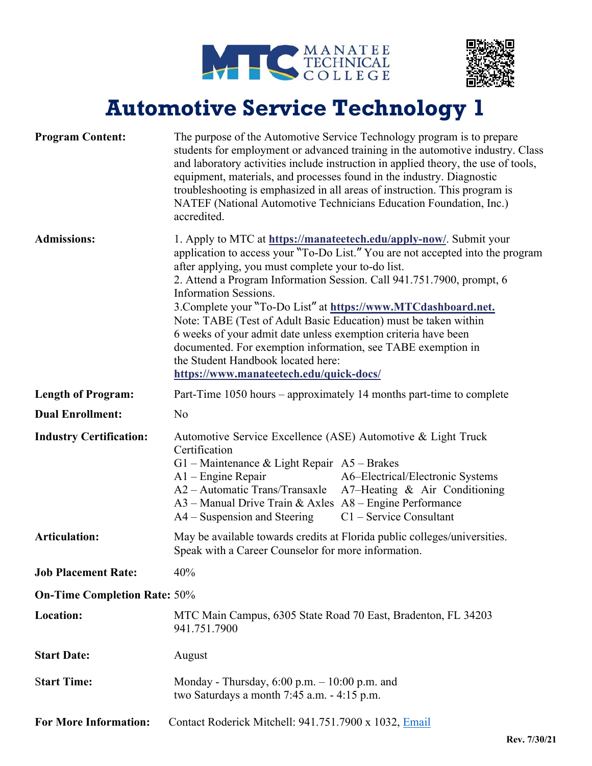



## **Automotive Service Technology 1**

| <b>Program Content:</b>             | The purpose of the Automotive Service Technology program is to prepare<br>students for employment or advanced training in the automotive industry. Class<br>and laboratory activities include instruction in applied theory, the use of tools,<br>equipment, materials, and processes found in the industry. Diagnostic<br>troubleshooting is emphasized in all areas of instruction. This program is<br>NATEF (National Automotive Technicians Education Foundation, Inc.)<br>accredited.                                                                                                                                                                                  |
|-------------------------------------|-----------------------------------------------------------------------------------------------------------------------------------------------------------------------------------------------------------------------------------------------------------------------------------------------------------------------------------------------------------------------------------------------------------------------------------------------------------------------------------------------------------------------------------------------------------------------------------------------------------------------------------------------------------------------------|
| <b>Admissions:</b>                  | 1. Apply to MTC at https://manatectech.edu/apply-now/. Submit your<br>application to access your "To-Do List." You are not accepted into the program<br>after applying, you must complete your to-do list.<br>2. Attend a Program Information Session. Call 941.751.7900, prompt, 6<br><b>Information Sessions.</b><br>3. Complete your "To-Do List" at https://www.MTCdashboard.net.<br>Note: TABE (Test of Adult Basic Education) must be taken within<br>6 weeks of your admit date unless exemption criteria have been<br>documented. For exemption information, see TABE exemption in<br>the Student Handbook located here:<br>https://www.manateetech.edu/quick-docs/ |
| <b>Length of Program:</b>           | Part-Time 1050 hours – approximately 14 months part-time to complete                                                                                                                                                                                                                                                                                                                                                                                                                                                                                                                                                                                                        |
| <b>Dual Enrollment:</b>             | N <sub>o</sub>                                                                                                                                                                                                                                                                                                                                                                                                                                                                                                                                                                                                                                                              |
|                                     |                                                                                                                                                                                                                                                                                                                                                                                                                                                                                                                                                                                                                                                                             |
| <b>Industry Certification:</b>      | Automotive Service Excellence (ASE) Automotive & Light Truck<br>Certification<br>G1 – Maintenance & Light Repair $A5$ – Brakes<br>A6-Electrical/Electronic Systems<br>$A1$ – Engine Repair<br>A2 – Automatic Trans/Transaxle<br>A7-Heating & Air Conditioning<br>$A3$ – Manual Drive Train & Axles $A8$ – Engine Performance<br>$C1$ – Service Consultant<br>$A4 -$ Suspension and Steering                                                                                                                                                                                                                                                                                 |
| <b>Articulation:</b>                | May be available towards credits at Florida public colleges/universities.<br>Speak with a Career Counselor for more information.                                                                                                                                                                                                                                                                                                                                                                                                                                                                                                                                            |
| <b>Job Placement Rate:</b>          | 40%                                                                                                                                                                                                                                                                                                                                                                                                                                                                                                                                                                                                                                                                         |
| <b>On-Time Completion Rate: 50%</b> |                                                                                                                                                                                                                                                                                                                                                                                                                                                                                                                                                                                                                                                                             |
| Location:                           | MTC Main Campus, 6305 State Road 70 East, Bradenton, FL 34203<br>941.751.7900                                                                                                                                                                                                                                                                                                                                                                                                                                                                                                                                                                                               |
| <b>Start Date:</b>                  | August                                                                                                                                                                                                                                                                                                                                                                                                                                                                                                                                                                                                                                                                      |
| <b>Start Time:</b>                  | Monday - Thursday, $6:00$ p.m. $-10:00$ p.m. and<br>two Saturdays a month $7:45$ a.m. $-4:15$ p.m.                                                                                                                                                                                                                                                                                                                                                                                                                                                                                                                                                                          |